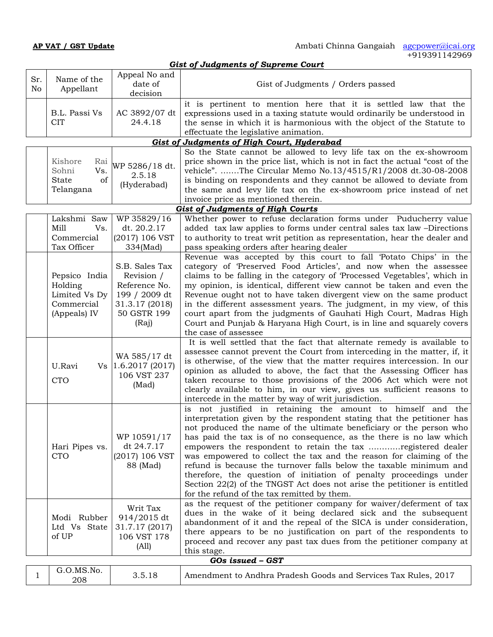| <b>Gist of Judgments of Supreme Court</b> |           |                                                                         |                                                                                                          |                                                                                                                                                                                                                                                                                                                                                                                                                                                                                                                                                                                                                                                                                                  |  |
|-------------------------------------------|-----------|-------------------------------------------------------------------------|----------------------------------------------------------------------------------------------------------|--------------------------------------------------------------------------------------------------------------------------------------------------------------------------------------------------------------------------------------------------------------------------------------------------------------------------------------------------------------------------------------------------------------------------------------------------------------------------------------------------------------------------------------------------------------------------------------------------------------------------------------------------------------------------------------------------|--|
|                                           | Sr.<br>No | Name of the<br>Appellant                                                | Appeal No and<br>date of<br>decision                                                                     | Gist of Judgments / Orders passed                                                                                                                                                                                                                                                                                                                                                                                                                                                                                                                                                                                                                                                                |  |
|                                           |           | B.L. Passi Vs<br><b>CIT</b>                                             | AC 3892/07 dt<br>24.4.18                                                                                 | it is pertinent to mention here that it is settled law that the<br>expressions used in a taxing statute would ordinarily be understood in<br>the sense in which it is harmonious with the object of the Statute to<br>effectuate the legislative animation.                                                                                                                                                                                                                                                                                                                                                                                                                                      |  |
|                                           |           |                                                                         |                                                                                                          | Gist of Judgments of High Court, Hyderabad                                                                                                                                                                                                                                                                                                                                                                                                                                                                                                                                                                                                                                                       |  |
|                                           |           | Kishore<br>Rai<br>Vs.<br>Sohni<br>State<br>of<br>Telangana              | WP 5286/18 dt.<br>2.5.18<br>(Hyderabad)                                                                  | So the State cannot be allowed to levy life tax on the ex-showroom<br>price shown in the price list, which is not in fact the actual "cost of the<br>vehicle". The Circular Memo No.13/4515/R1/2008 dt.30-08-2008<br>is binding on respondents and they cannot be allowed to deviate from<br>the same and levy life tax on the ex-showroom price instead of net<br>invoice price as mentioned therein.                                                                                                                                                                                                                                                                                           |  |
|                                           |           |                                                                         |                                                                                                          | <b>Gist of Judgments of High Courts</b>                                                                                                                                                                                                                                                                                                                                                                                                                                                                                                                                                                                                                                                          |  |
|                                           |           | Lakshmi Saw<br>Mill<br>Vs.<br>Commercial<br>Tax Officer                 | WP 35829/16<br>dt. 20.2.17<br>(2017) 106 VST<br>334(Mad)                                                 | Whether power to refuse declaration forms under Puducherry value<br>added tax law applies to forms under central sales tax law -Directions<br>to authority to treat writ petition as representation, hear the dealer and<br>pass speaking orders after hearing dealer                                                                                                                                                                                                                                                                                                                                                                                                                            |  |
|                                           |           | Pepsico India<br>Holding<br>Limited Vs Dy<br>Commercial<br>(Appeals) IV | S.B. Sales Tax<br>Revision /<br>Reference No.<br>199 / 2009 dt<br>31.3.17 (2018)<br>50 GSTR 199<br>(Raj) | Revenue was accepted by this court to fall 'Potato Chips' in the<br>category of Preserved Food Articles', and now when the assessee<br>claims to be falling in the category of 'Processed Vegetables', which in<br>my opinion, is identical, different view cannot be taken and even the<br>Revenue ought not to have taken divergent view on the same product<br>in the different assessment years. The judgment, in my view, of this<br>court apart from the judgments of Gauhati High Court, Madras High<br>Court and Punjab & Haryana High Court, is in line and squarely covers<br>the case of assessee                                                                                     |  |
|                                           |           | U.Ravi<br><b>CTO</b>                                                    | WA 585/17 dt<br>Vs $ 1.6.2017(2017)$<br>106 VST 237<br>(Mad)                                             | It is well settled that the fact that alternate remedy is available to<br>assessee cannot prevent the Court from interceding in the matter, if, it<br>is otherwise, of the view that the matter requires intercession. In our<br>opinion as alluded to above, the fact that the Assessing Officer has<br>taken recourse to those provisions of the 2006 Act which were not<br>clearly available to him, in our view, gives us sufficient reasons to<br>intercede in the matter by way of writ jurisdiction.                                                                                                                                                                                      |  |
|                                           |           | Hari Pipes vs.<br>CTO                                                   | WP 10591/17<br>dt 24.7.17<br>(2017) 106 VST<br>88 (Mad)                                                  | is not justified in retaining the amount to himself and the<br>interpretation given by the respondent stating that the petitioner has<br>not produced the name of the ultimate beneficiary or the person who<br>has paid the tax is of no consequence, as the there is no law which<br>empowers the respondent to retain the tax registered dealer<br>was empowered to collect the tax and the reason for claiming of the<br>refund is because the turnover falls below the taxable minimum and<br>therefore, the question of initiation of penalty proceedings under<br>Section 22(2) of the TNGST Act does not arise the petitioner is entitled<br>for the refund of the tax remitted by them. |  |
|                                           |           | Modi Rubber<br>Ltd Vs State<br>of UP                                    | Writ Tax<br>914/2015 dt<br>31.7.17 (2017)<br>106 VST 178<br>(A11)                                        | as the request of the petitioner company for waiver/deferment of tax<br>dues in the wake of it being declared sick and the subsequent<br>abandonment of it and the repeal of the SICA is under consideration,<br>there appears to be no justification on part of the respondents to<br>proceed and recover any past tax dues from the petitioner company at<br>this stage.                                                                                                                                                                                                                                                                                                                       |  |
|                                           |           |                                                                         |                                                                                                          | GOs issued - GST                                                                                                                                                                                                                                                                                                                                                                                                                                                                                                                                                                                                                                                                                 |  |
|                                           | 1         | G.O.MS.No.<br>208                                                       | 3.5.18                                                                                                   | Amendment to Andhra Pradesh Goods and Services Tax Rules, 2017                                                                                                                                                                                                                                                                                                                                                                                                                                                                                                                                                                                                                                   |  |